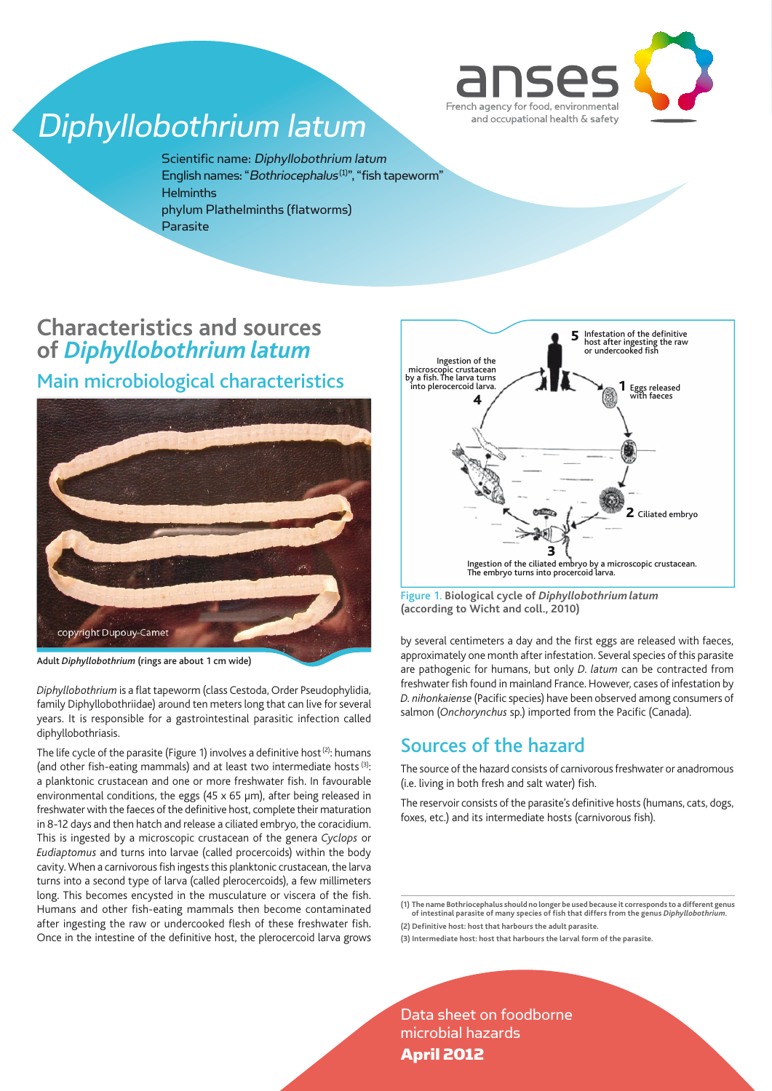

# Diphyllobothrium latum

Scientific name: Diphyllobothrium latum English names: "Bothriocephalus<sup>(1)</sup>", "fish tapeworm" **Helminths** phylum Plathelminths (flatworms) Parasite

# **Characteristics and sources of** *Diphyllobothrium latum*

Main microbiological characteristics



Adult *Diphyllobothrium* (rings are about 1 cm wide)

*Diphyllobothrium* is a flat tapeworm (class Cestoda, Order Pseudophylidia, family Diphyllobothriidae) around ten meters long that can live for several years. It is responsible for a gastrointestinal parasitic infection called diphyllobothriasis.

The life cycle of the parasite (Figure 1) involves a definitive host  $(2)$ : humans (and other fish-eating mammals) and at least two intermediate hosts<sup>(3)</sup>: a planktonic crustacean and one or more freshwater fish. In favourable environmental conditions, the eggs (45 x 65 µm), after being released in freshwater with the faeces of the definitive host, complete their maturation in 8-12 days and then hatch and release a ciliated embryo, the coracidium. This is ingested by a microscopic crustacean of the genera *Cyclops* or *Eudiaptomus* and turns into larvae (called procercoids) within the body cavity. When a carnivorous fish ingests this planktonic crustacean, the larva turns into a second type of larva (called plerocercoids), a few millimeters long. This becomes encysted in the musculature or viscera of the fish. Humans and other fish-eating mammals then become contaminated after ingesting the raw or undercooked flesh of these freshwater fish. Once in the intestine of the definitive host, the plerocercoid larva grows



Figure 1. **Biological cycle of** *Diphyllobothrium latum* **(according to Wicht and coll., 2010)**

by several centimeters a day and the first eggs are released with faeces, approximately one month after infestation. Several species of this parasite are pathogenic for humans, but only *D. latum* can be contracted from freshwater fish found in mainland France. However, cases of infestation by *D. nihonkaiense* (Pacific species) have been observed among consumers of salmon (*Onchorynchus* sp.) imported from the Pacific (Canada).

### Sources of the hazard

The source of the hazard consists of carnivorous freshwater or anadromous (i.e. living in both fresh and salt water) fish.

The reservoir consists of the parasite's definitive hosts (humans, cats, dogs, foxes, etc.) and its intermediate hosts (carnivorous fish).

**(3) Intermediate host: host that harbours the larval form of the parasite.**

Data sheet on foodborne microbial hazards April 2012

**<sup>(1)</sup> The name Bothriocephalus should no longer be used because it corresponds to a different genus of intestinal parasite of many species of fish that differs from the genus** *Diphyllobothrium***. (2) Definitive host: host that harbours the adult parasite.**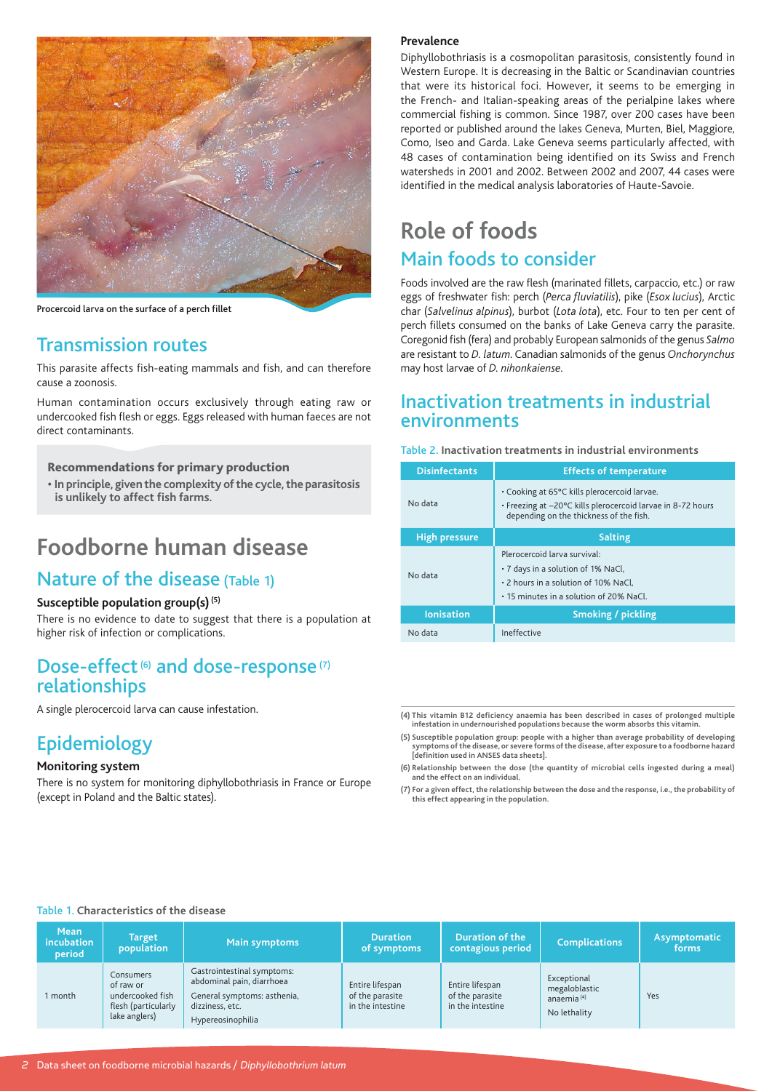

Procercoid larva on the surface of a perch fillet

### Transmission routes

This parasite affects fish-eating mammals and fish, and can therefore cause a zoonosis.

Human contamination occurs exclusively through eating raw or undercooked fish flesh or eggs. Eggs released with human faeces are not direct contaminants.

Recommendations for primary production

**• In principle, given the complexity of the cycle, the parasitosis is unlikely to affect fish farms.**

# **Foodborne human disease**

### Nature of the disease (Table 1)

### **Susceptible population group(s) (5)**

There is no evidence to date to suggest that there is a population at higher risk of infection or complications.

### Dose-effect<sup>(6)</sup> and dose-response<sup>(7)</sup> relationships

A single plerocercoid larva can cause infestation.

### Epidemiology

### **Monitoring system**

There is no system for monitoring diphyllobothriasis in France or Europe (except in Poland and the Baltic states).

### **Prevalence**

Diphyllobothriasis is a cosmopolitan parasitosis, consistently found in Western Europe. It is decreasing in the Baltic or Scandinavian countries that were its historical foci. However, it seems to be emerging in the French- and Italian-speaking areas of the perialpine lakes where commercial fishing is common. Since 1987, over 200 cases have been reported or published around the lakes Geneva, Murten, Biel, Maggiore, Como, Iseo and Garda. Lake Geneva seems particularly affected, with 48 cases of contamination being identified on its Swiss and French watersheds in 2001 and 2002. Between 2002 and 2007, 44 cases were identified in the medical analysis laboratories of Haute-Savoie.

## **Role of foods** Main foods to consider

Foods involved are the raw flesh (marinated fillets, carpaccio, etc.) or raw eggs of freshwater fish: perch (*Perca fluviatilis*), pike (*Esox lucius*), Arctic char (*Salvelinus alpinus*), burbot (*Lota lota*), etc. Four to ten per cent of perch fillets consumed on the banks of Lake Geneva carry the parasite. Coregonid fish (fera) and probably European salmonids of the genus *Salmo* are resistant to *D. latum*. Canadian salmonids of the genus *Onchorynchus* may host larvae of *D. nihonkaiense*.

### Inactivation treatments in industrial environments

#### Table 2. **Inactivation treatments in industrial environments**

| <b>Disinfectants</b> | <b>Effects of temperature</b>                                                                                                                          |  |  |  |
|----------------------|--------------------------------------------------------------------------------------------------------------------------------------------------------|--|--|--|
| No data              | • Cooking at 65°C kills plerocercoid larvae.<br>• Freezing at -20°C kills plerocercoid larvae in 8-72 hours<br>depending on the thickness of the fish. |  |  |  |
| High pressure        | <b>Salting</b>                                                                                                                                         |  |  |  |
| No data              | Plerocercoid larva survival:<br>• 7 days in a solution of 1% NaCl,<br>• 2 hours in a solution of 10% NaCl.<br>• 15 minutes in a solution of 20% NaCl.  |  |  |  |
| <b>lonisation</b>    | Smoking / pickling                                                                                                                                     |  |  |  |
| No data              | Ineffective                                                                                                                                            |  |  |  |

**(4) This vitamin B12 deficiency anaemia has been described in cases of prolonged multiple infestation in undernourished populations because the worm absorbs this vitamin.**

(5) Susceptible population group: people with a higher than average probability of developing<br>symptoms of the disease, or severe forms of the disease, after exposure to a foodborne hazard<br>[definition used in ANSES data she

**(6) Relationship between the dose (the quantity of microbial cells ingested during a meal) and the effect on an individual.**

**(7) For a given effect, the relationship between the dose and the response, i.e., the probability of this effect appearing in the population.**

#### Table 1. **Characteristics of the disease**

| <b>Mean</b><br>incubation<br><b>period</b> | <b>Target</b><br>population                                                        | Main symptoms                                                                                                                  | <b>Duration</b><br>of symptoms                         | <b>Duration of the</b><br>contagious period            | <b>Complications</b>                                                   | <b>Asymptomatic</b><br>forms |
|--------------------------------------------|------------------------------------------------------------------------------------|--------------------------------------------------------------------------------------------------------------------------------|--------------------------------------------------------|--------------------------------------------------------|------------------------------------------------------------------------|------------------------------|
| 1 month                                    | Consumers<br>of raw or<br>undercooked fish<br>flesh (particularly<br>lake anglers) | Gastrointestinal symptoms:<br>abdominal pain, diarrhoea<br>General symptoms: asthenia,<br>dizziness, etc.<br>Hypereosinophilia | Entire lifespan<br>of the parasite<br>in the intestine | Entire lifespan<br>of the parasite<br>in the intestine | Exceptional<br>megaloblastic<br>anaemia <sup>(4)</sup><br>No lethality | Yes                          |